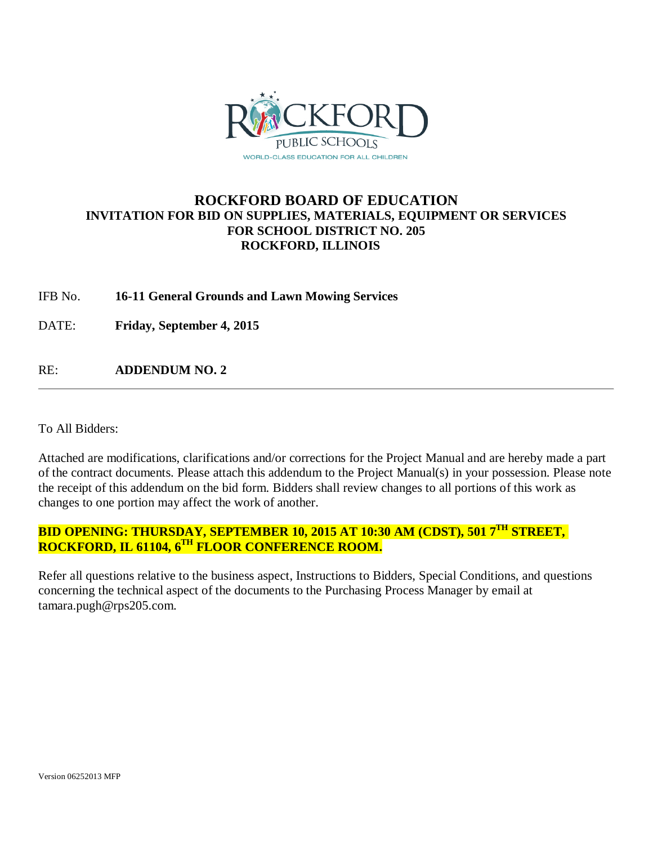

# **ROCKFORD BOARD OF EDUCATION INVITATION FOR BID ON SUPPLIES, MATERIALS, EQUIPMENT OR SERVICES FOR SCHOOL DISTRICT NO. 205 ROCKFORD, ILLINOIS**

IFB No. **16-11 General Grounds and Lawn Mowing Services**

DATE: **Friday, September 4, 2015**

RE: **ADDENDUM NO. 2**

To All Bidders:

Attached are modifications, clarifications and/or corrections for the Project Manual and are hereby made a part of the contract documents. Please attach this addendum to the Project Manual(s) in your possession. Please note the receipt of this addendum on the bid form. Bidders shall review changes to all portions of this work as changes to one portion may affect the work of another.

## **BID OPENING: THURSDAY, SEPTEMBER 10, 2015 AT 10:30 AM (CDST), 501 7TH STREET, ROCKFORD, IL 61104, 6TH FLOOR CONFERENCE ROOM.**

Refer all questions relative to the business aspect, Instructions to Bidders, Special Conditions, and questions concerning the technical aspect of the documents to the Purchasing Process Manager by email at tamara.pugh@rps205.com.